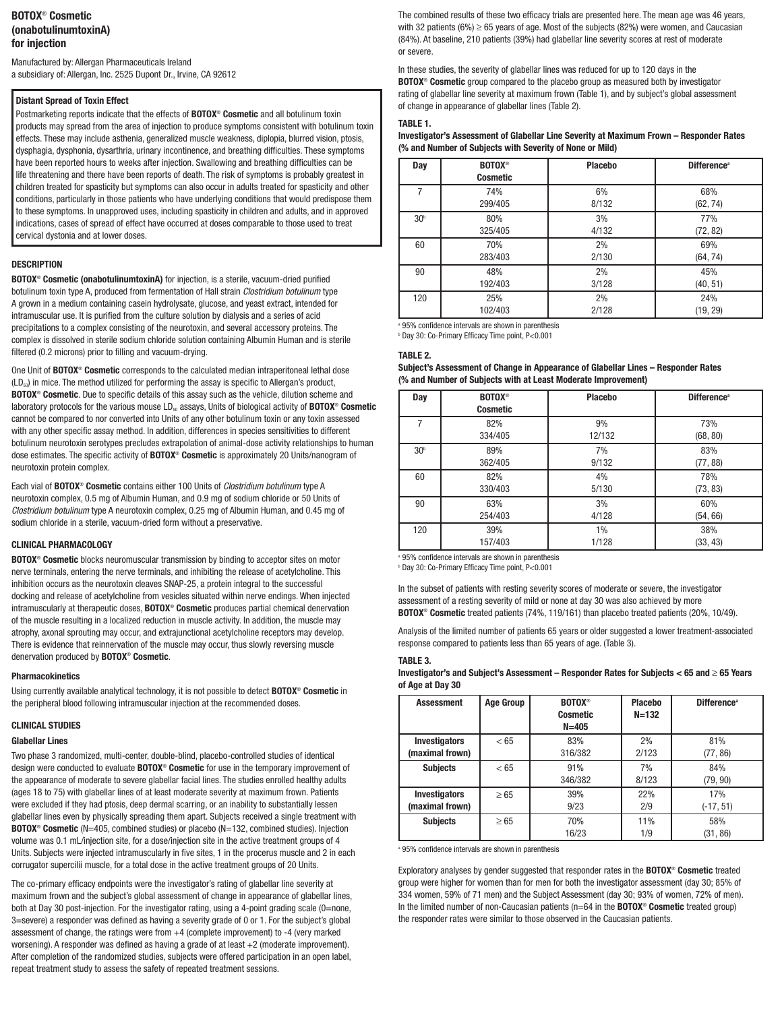## BOTOX® Cosmetic (onabotulinumtoxinA) for injection

Manufactured by: Allergan Pharmaceuticals Ireland a subsidiary of: Allergan, Inc. 2525 Dupont Dr., Irvine, CA 92612

#### Distant Spread of Toxin Effect

Postmarketing reports indicate that the effects of **BOTOX<sup>®</sup> Cosmetic** and all botulinum toxin products may spread from the area of injection to produce symptoms consistent with botulinum toxin effects. These may include asthenia, generalized muscle weakness, diplopia, blurred vision, ptosis, dysphagia, dysphonia, dysarthria, urinary incontinence, and breathing difficulties. These symptoms have been reported hours to weeks after injection. Swallowing and breathing difficulties can be life threatening and there have been reports of death. The risk of symptoms is probably greatest in children treated for spasticity but symptoms can also occur in adults treated for spasticity and other conditions, particularly in those patients who have underlying conditions that would predispose them to these symptoms. In unapproved uses, including spasticity in children and adults, and in approved indications, cases of spread of effect have occurred at doses comparable to those used to treat cervical dystonia and at lower doses.

#### **DESCRIPTION**

BOTOX<sup>®</sup> Cosmetic (onabotulinumtoxinA) for injection, is a sterile, vacuum-dried purified botulinum toxin type A, produced from fermentation of Hall strain *Clostridium botulinum* type A grown in a medium containing casein hydrolysate, glucose, and yeast extract, intended for intramuscular use. It is purified from the culture solution by dialysis and a series of acid precipitations to a complex consisting of the neurotoxin, and several accessory proteins. The complex is dissolved in sterile sodium chloride solution containing Albumin Human and is sterile filtered (0.2 microns) prior to filling and vacuum-drying.

One Unit of BOTOX® Cosmetic corresponds to the calculated median intraperitoneal lethal dose  $(LD<sub>50</sub>)$  in mice. The method utilized for performing the assay is specific to Allergan's product, BOTOX<sup>®</sup> Cosmetic. Due to specific details of this assay such as the vehicle, dilution scheme and laboratory protocols for the various mouse  $LD_{50}$  assays, Units of biological activity of BOTOX® Cosmetic cannot be compared to nor converted into Units of any other botulinum toxin or any toxin assessed with any other specific assay method. In addition, differences in species sensitivities to different botulinum neurotoxin serotypes precludes extrapolation of animal-dose activity relationships to human dose estimates. The specific activity of **BOTOX<sup>®</sup> Cosmetic** is approximately 20 Units/nanogram of neurotoxin protein complex.

Each vial of BOTOX® Cosmetic contains either 100 Units of *Clostridium botulinum* type A neurotoxin complex, 0.5 mg of Albumin Human, and 0.9 mg of sodium chloride or 50 Units of *Clostridium botulinum* type A neurotoxin complex, 0.25 mg of Albumin Human, and 0.45 mg of sodium chloride in a sterile, vacuum-dried form without a preservative.

#### CLINICAL PHARMACOLOGY

BOTOX<sup>®</sup> Cosmetic blocks neuromuscular transmission by binding to acceptor sites on motor nerve terminals, entering the nerve terminals, and inhibiting the release of acetylcholine. This inhibition occurs as the neurotoxin cleaves SNAP-25, a protein integral to the successful docking and release of acetylcholine from vesicles situated within nerve endings. When injected intramuscularly at therapeutic doses, **BOTOX®** Cosmetic produces partial chemical denervation of the muscle resulting in a localized reduction in muscle activity. In addition, the muscle may atrophy, axonal sprouting may occur, and extrajunctional acetylcholine receptors may develop. There is evidence that reinnervation of the muscle may occur, thus slowly reversing muscle denervation produced by BOTOX® Cosmetic.

#### Pharmacokinetics

Using currently available analytical technology, it is not possible to detect **BOTOX<sup>®</sup> Cosmetic** in the peripheral blood following intramuscular injection at the recommended doses.

## Clinical Studies

## Glabellar Lines

Two phase 3 randomized, multi-center, double-blind, placebo-controlled studies of identical design were conducted to evaluate **BOTOX®** Cosmetic for use in the temporary improvement of the appearance of moderate to severe glabellar facial lines. The studies enrolled healthy adults (ages 18 to 75) with glabellar lines of at least moderate severity at maximum frown. Patients were excluded if they had ptosis, deep dermal scarring, or an inability to substantially lessen glabellar lines even by physically spreading them apart. Subjects received a single treatment with BOTOX® Cosmetic (N=405, combined studies) or placebo (N=132, combined studies). Injection volume was 0.1 mL/injection site, for a dose/injection site in the active treatment groups of 4 Units. Subjects were injected intramuscularly in five sites, 1 in the procerus muscle and 2 in each corrugator supercilii muscle, for a total dose in the active treatment groups of 20 Units.

The co-primary efficacy endpoints were the investigator's rating of glabellar line severity at maximum frown and the subject's global assessment of change in appearance of glabellar lines, both at Day 30 post-injection. For the investigator rating, using a 4-point grading scale (0=none, 3=severe) a responder was defined as having a severity grade of 0 or 1. For the subject's global assessment of change, the ratings were from +4 (complete improvement) to -4 (very marked worsening). A responder was defined as having a grade of at least +2 (moderate improvement). After completion of the randomized studies, subjects were offered participation in an open label, repeat treatment study to assess the safety of repeated treatment sessions.

The combined results of these two efficacy trials are presented here. The mean age was 46 years, with 32 patients (6%)  $\geq$  65 years of age. Most of the subjects (82%) were women, and Caucasian (84%). At baseline, 210 patients (39%) had glabellar line severity scores at rest of moderate or severe.

In these studies, the severity of glabellar lines was reduced for up to 120 days in the BOTOX<sup>®</sup> Cosmetic group compared to the placebo group as measured both by investigator rating of glabellar line severity at maximum frown (Table 1), and by subject's global assessment of change in appearance of glabellar lines (Table 2).

### TABLE 1.

## Investigator's Assessment of Glabellar Line Severity at Maximum Frown – Responder Rates (% and Number of Subjects with Severity of None or Mild)

| Day             | вотох <sup>®</sup><br><b>Cosmetic</b> | <b>Placebo</b> | Difference <sup>a</sup> |
|-----------------|---------------------------------------|----------------|-------------------------|
| 7               | 74%                                   | 6%             | 68%                     |
|                 | 299/405                               | 8/132          | (62, 74)                |
| 30 <sup>b</sup> | 80%                                   | 3%             | 77%                     |
|                 | 325/405                               | 4/132          | (72, 82)                |
| 60              | 70%                                   | 2%             | 69%                     |
|                 | 283/403                               | 2/130          | (64, 74)                |
| 90              | 48%                                   | 2%             | 45%                     |
|                 | 192/403                               | 3/128          | (40, 51)                |
| 120             | 25%                                   | 2%             | 24%                     |
|                 | 102/403                               | 2/128          | (19, 29)                |

<sup>a</sup> 95% confidence intervals are shown in parenthesis

<sup>b</sup> Day 30: Co-Primary Efficacy Time point, P<0.001

## TABLE 2.

#### Subject's Assessment of Change in Appearance of Glabellar Lines – Responder Rates (% and Number of Subjects with at Least Moderate Improvement)

| Day             | вотох®<br><b>Cosmetic</b> | <b>Placebo</b> | Difference <sup>a</sup> |
|-----------------|---------------------------|----------------|-------------------------|
| 7               | 82%                       | 9%             | 73%                     |
|                 | 334/405                   | 12/132         | (68, 80)                |
| 30 <sup>b</sup> | 89%                       | 7%             | 83%                     |
|                 | 362/405                   | 9/132          | (77, 88)                |
| 60              | 82%                       | 4%             | 78%                     |
|                 | 330/403                   | 5/130          | (73, 83)                |
| 90              | 63%                       | 3%             | 60%                     |
|                 | 254/403                   | 4/128          | (54, 66)                |
| 120             | 39%                       | 1%             | 38%                     |
|                 | 157/403                   | 1/128          | (33, 43)                |

<sup>a</sup> 95% confidence intervals are shown in parenthesis

<sup>b</sup> Day 30: Co-Primary Efficacy Time point, P<0.001

In the subset of patients with resting severity scores of moderate or severe, the investigator assessment of a resting severity of mild or none at day 30 was also achieved by more BOTOX<sup>®</sup> Cosmetic treated patients (74%, 119/161) than placebo treated patients (20%, 10/49).

Analysis of the limited number of patients 65 years or older suggested a lower treatment-associated response compared to patients less than 65 years of age. (Table 3).

### TABLE 3.

### Investigator's and Subject's Assessment – Responder Rates for Subjects < 65 and ≥ 65 Years of Age at Day 30

| <b>Assessment</b>                       | Age Group | <b>BOTOX®</b><br><b>Cosmetic</b><br>$N = 405$ | Placebo<br>$N = 132$ | Difference <sup>a</sup> |
|-----------------------------------------|-----------|-----------------------------------------------|----------------------|-------------------------|
| <b>Investigators</b><br>(maximal frown) | < 65      | 83%<br>316/382                                | 2%<br>2/123          | 81%<br>(77, 86)         |
| <b>Subjects</b>                         | < 65      | 91%<br>346/382                                | 7%<br>8/123          | 84%<br>(79, 90)         |
| <b>Investigators</b><br>(maximal frown) | > 65      | 39%<br>9/23                                   | 22%<br>2/9           | 17%<br>$(-17, 51)$      |
| <b>Subjects</b>                         | $\geq 65$ | 70%<br>16/23                                  | 11%<br>1/9           | 58%<br>(31, 86)         |

<sup>a</sup> 95% confidence intervals are shown in parenthesis

Exploratory analyses by gender suggested that responder rates in the **BOTOX<sup>®</sup> Cosmetic** treated group were higher for women than for men for both the investigator assessment (day 30; 85% of 334 women, 59% of 71 men) and the Subject Assessment (day 30; 93% of women, 72% of men). In the limited number of non-Caucasian patients ( $n=64$  in the **BOTOX<sup>®</sup> Cosmetic** treated group) the responder rates were similar to those observed in the Caucasian patients.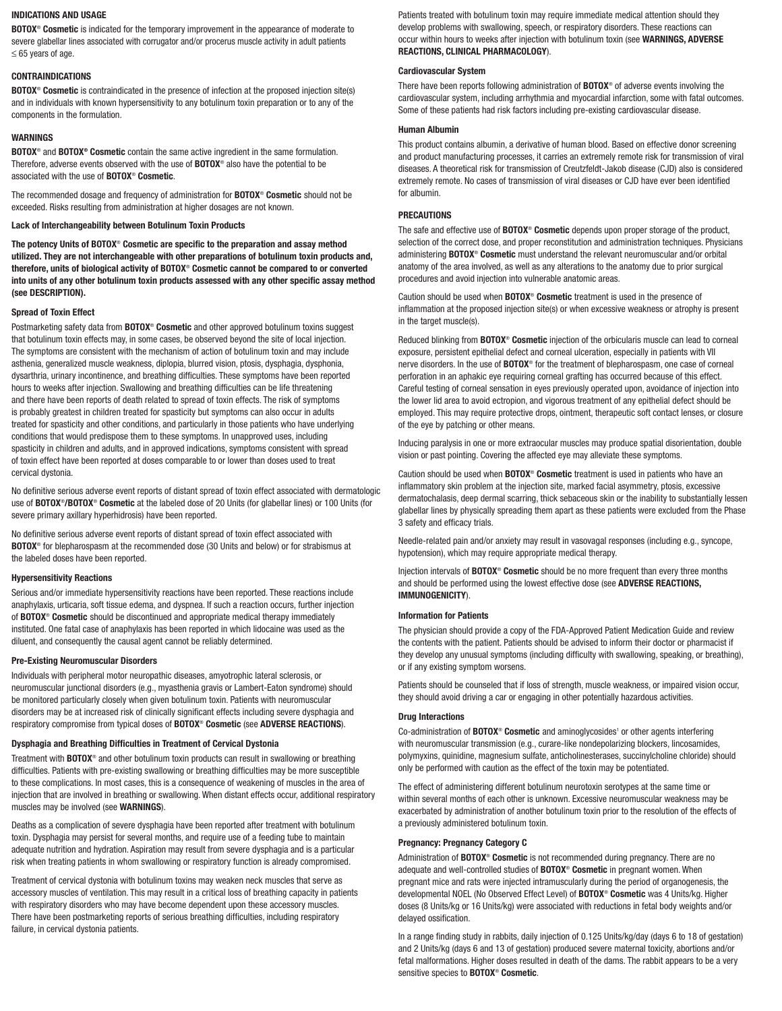## INDICATIONS AND USAGE

BOTOX<sup>®</sup> Cosmetic is indicated for the temporary improvement in the appearance of moderate to severe glabellar lines associated with corrugator and/or procerus muscle activity in adult patients ≤ 65 years of age.

## CONTRAINDICATIONS

BOTOX<sup>®</sup> Cosmetic is contraindicated in the presence of infection at the proposed injection site(s) and in individuals with known hypersensitivity to any botulinum toxin preparation or to any of the components in the formulation.

#### WARNINGS

BOTOX<sup>®</sup> and BOTOX<sup>®</sup> Cosmetic contain the same active ingredient in the same formulation. Therefore, adverse events observed with the use of **BOTOX**<sup>®</sup> also have the potential to be associated with the use of **BOTOX<sup>®</sup> Cosmetic.** 

The recommended dosage and frequency of administration for **BOTOX®** Cosmetic should not be exceeded. Risks resulting from administration at higher dosages are not known.

#### Lack of Interchangeability between Botulinum Toxin Products

The potency Units of BOTOX® Cosmetic are specific to the preparation and assay method utilized. They are not interchangeable with other preparations of botulinum toxin products and, therefore, units of biological activity of BOTOX® Cosmetic cannot be compared to or converted into units of any other botulinum toxin products assessed with any other specific assay method (see DESCRIPTION).

#### Spread of Toxin Effect

Postmarketing safety data from **BOTOX<sup>®</sup> Cosmetic** and other approved botulinum toxins suggest that botulinum toxin effects may, in some cases, be observed beyond the site of local injection. The symptoms are consistent with the mechanism of action of botulinum toxin and may include asthenia, generalized muscle weakness, diplopia, blurred vision, ptosis, dysphagia, dysphonia, dysarthria, urinary incontinence, and breathing difficulties. These symptoms have been reported hours to weeks after injection. Swallowing and breathing difficulties can be life threatening and there have been reports of death related to spread of toxin effects. The risk of symptoms is probably greatest in children treated for spasticity but symptoms can also occur in adults treated for spasticity and other conditions, and particularly in those patients who have underlying conditions that would predispose them to these symptoms. In unapproved uses, including spasticity in children and adults, and in approved indications, symptoms consistent with spread of toxin effect have been reported at doses comparable to or lower than doses used to treat cervical dystonia.

No definitive serious adverse event reports of distant spread of toxin effect associated with dermatologic use of BOTOX<sup>®</sup>/BOTOX<sup>®</sup> Cosmetic at the labeled dose of 20 Units (for glabellar lines) or 100 Units (for severe primary axillary hyperhidrosis) have been reported.

No definitive serious adverse event reports of distant spread of toxin effect associated with BOTOX<sup>®</sup> for blepharospasm at the recommended dose (30 Units and below) or for strabismus at the labeled doses have been reported.

### Hypersensitivity Reactions

Serious and/or immediate hypersensitivity reactions have been reported. These reactions include anaphylaxis, urticaria, soft tissue edema, and dyspnea. If such a reaction occurs, further injection of BOTOX® Cosmetic should be discontinued and appropriate medical therapy immediately instituted. One fatal case of anaphylaxis has been reported in which lidocaine was used as the diluent, and consequently the causal agent cannot be reliably determined.

#### Pre-Existing Neuromuscular Disorders

Individuals with peripheral motor neuropathic diseases, amyotrophic lateral sclerosis, or neuromuscular junctional disorders (e.g., myasthenia gravis or Lambert-Eaton syndrome) should be monitored particularly closely when given botulinum toxin. Patients with neuromuscular disorders may be at increased risk of clinically significant effects including severe dysphagia and respiratory compromise from typical doses of BOTOX® Cosmetic (see ADVERSE REACTIONS).

### Dysphagia and Breathing Difficulties in Treatment of Cervical Dystonia

Treatment with BOTOX® and other botulinum toxin products can result in swallowing or breathing difficulties. Patients with pre-existing swallowing or breathing difficulties may be more susceptible to these complications. In most cases, this is a consequence of weakening of muscles in the area of injection that are involved in breathing or swallowing. When distant effects occur, additional respiratory muscles may be involved (see WARNINGS).

Deaths as a complication of severe dysphagia have been reported after treatment with botulinum toxin. Dysphagia may persist for several months, and require use of a feeding tube to maintain adequate nutrition and hydration. Aspiration may result from severe dysphagia and is a particular risk when treating patients in whom swallowing or respiratory function is already compromised.

Treatment of cervical dystonia with botulinum toxins may weaken neck muscles that serve as accessory muscles of ventilation. This may result in a critical loss of breathing capacity in patients with respiratory disorders who may have become dependent upon these accessory muscles. There have been postmarketing reports of serious breathing difficulties, including respiratory failure, in cervical dystonia patients.

Patients treated with botulinum toxin may require immediate medical attention should they develop problems with swallowing, speech, or respiratory disorders. These reactions can occur within hours to weeks after injection with botulinum toxin (see WARNINGS, ADVERSE REACTIONS, CLINICAL PHARMACOLOGY).

#### Cardiovascular System

There have been reports following administration of  $BOTOX<sup>®</sup>$  of adverse events involving the cardiovascular system, including arrhythmia and myocardial infarction, some with fatal outcomes. Some of these patients had risk factors including pre-existing cardiovascular disease.

#### Human Albumin

This product contains albumin, a derivative of human blood. Based on effective donor screening and product manufacturing processes, it carries an extremely remote risk for transmission of viral diseases. A theoretical risk for transmission of Creutzfeldt-Jakob disease (CJD) also is considered extremely remote. No cases of transmission of viral diseases or CJD have ever been identified for albumin.

#### **PRECAUTIONS**

The safe and effective use of **BOTOX<sup>®</sup> Cosmetic** depends upon proper storage of the product, selection of the correct dose, and proper reconstitution and administration techniques. Physicians administering **BOTOX<sup>®</sup> Cosmetic** must understand the relevant neuromuscular and/or orbital anatomy of the area involved, as well as any alterations to the anatomy due to prior surgical procedures and avoid injection into vulnerable anatomic areas.

Caution should be used when **BOTOX<sup>®</sup> Cosmetic** treatment is used in the presence of inflammation at the proposed injection site(s) or when excessive weakness or atrophy is present in the target muscle(s).

Reduced blinking from **BOTOX<sup>®</sup> Cosmetic** injection of the orbicularis muscle can lead to corneal exposure, persistent epithelial defect and corneal ulceration, especially in patients with VII nerve disorders. In the use of **BOTOX®** for the treatment of blepharospasm, one case of corneal perforation in an aphakic eye requiring corneal grafting has occurred because of this effect. Careful testing of corneal sensation in eyes previously operated upon, avoidance of injection into the lower lid area to avoid ectropion, and vigorous treatment of any epithelial defect should be employed. This may require protective drops, ointment, therapeutic soft contact lenses, or closure of the eye by patching or other means.

Inducing paralysis in one or more extraocular muscles may produce spatial disorientation, double vision or past pointing. Covering the affected eye may alleviate these symptoms.

Caution should be used when BOTOX® Cosmetic treatment is used in patients who have an inflammatory skin problem at the injection site, marked facial asymmetry, ptosis, excessive dermatochalasis, deep dermal scarring, thick sebaceous skin or the inability to substantially lessen glabellar lines by physically spreading them apart as these patients were excluded from the Phase 3 safety and efficacy trials.

Needle-related pain and/or anxiety may result in vasovagal responses (including e.g., syncope, hypotension), which may require appropriate medical therapy.

Iniection intervals of **BOTOX®** Cosmetic should be no more frequent than every three months and should be performed using the lowest effective dose (see ADVERSE REACTIONS, IMMUNOGENICITY).

#### Information for Patients

The physician should provide a copy of the FDA-Approved Patient Medication Guide and review the contents with the patient. Patients should be advised to inform their doctor or pharmacist if they develop any unusual symptoms (including difficulty with swallowing, speaking, or breathing), or if any existing symptom worsens.

Patients should be counseled that if loss of strength, muscle weakness, or impaired vision occur, they should avoid driving a car or engaging in other potentially hazardous activities.

#### Drug Interactions

Co-administration of  $BOTOX^{\circ}$  Cosmetic and aminoglycosides<sup>1</sup> or other agents interfering with neuromuscular transmission (e.g., curare-like nondepolarizing blockers, lincosamides, polymyxins, quinidine, magnesium sulfate, anticholinesterases, succinylcholine chloride) should only be performed with caution as the effect of the toxin may be potentiated.

The effect of administering different botulinum neurotoxin serotypes at the same time or within several months of each other is unknown. Excessive neuromuscular weakness may be exacerbated by administration of another botulinum toxin prior to the resolution of the effects of a previously administered botulinum toxin.

## Pregnancy: Pregnancy Category C

Administration of **BOTOX®** Cosmetic is not recommended during pregnancy. There are no adequate and well-controlled studies of **BOTOX®** Cosmetic in pregnant women. When pregnant mice and rats were injected intramuscularly during the period of organogenesis, the developmental NOEL (No Observed Effect Level) of **BOTOX<sup>®</sup> Cosmetic** was 4 Units/kg. Higher doses (8 Units/kg or 16 Units/kg) were associated with reductions in fetal body weights and/or delayed ossification.

In a range finding study in rabbits, daily injection of 0.125 Units/kg/day (days 6 to 18 of gestation) and 2 Units/kg (days 6 and 13 of gestation) produced severe maternal toxicity, abortions and/or fetal malformations. Higher doses resulted in death of the dams. The rabbit appears to be a very sensitive species to **BOTOX<sup>®</sup> Cosmetic**.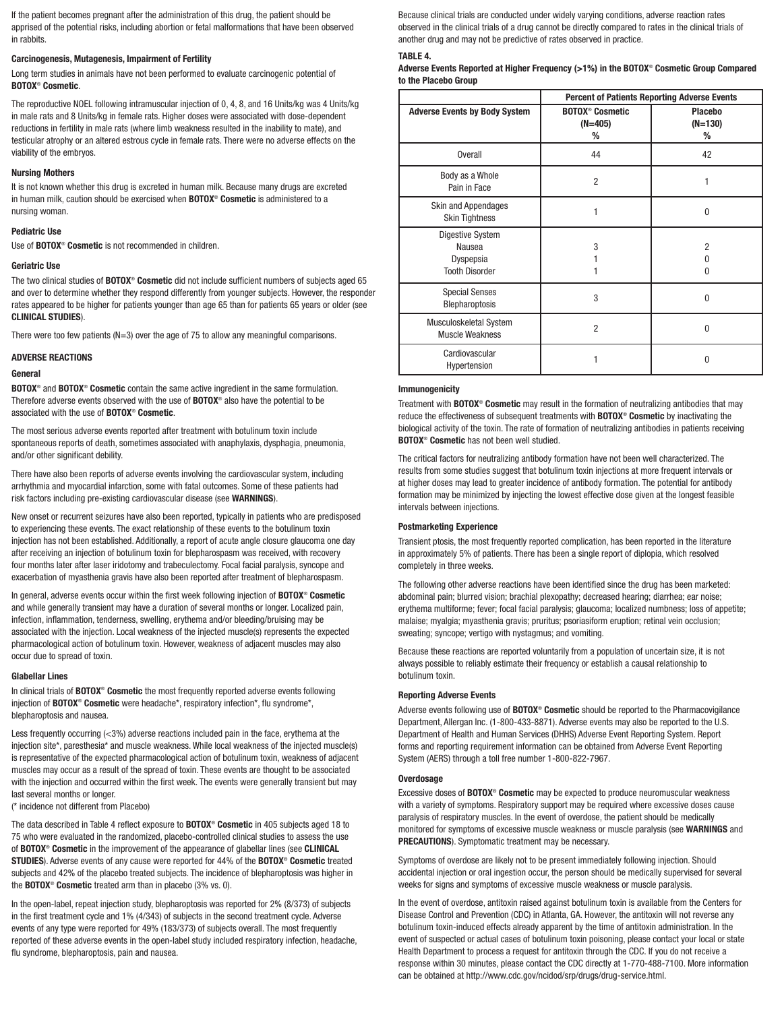If the patient becomes pregnant after the administration of this drug, the patient should be apprised of the potential risks, including abortion or fetal malformations that have been observed in rabbits.

#### Carcinogenesis, Mutagenesis, Impairment of Fertility

Long term studies in animals have not been performed to evaluate carcinogenic potential of BOTOX® Cosmetic.

The reproductive NOEL following intramuscular injection of 0, 4, 8, and 16 Units/kg was 4 Units/kg in male rats and 8 Units/kg in female rats. Higher doses were associated with dose-dependent reductions in fertility in male rats (where limb weakness resulted in the inability to mate), and testicular atrophy or an altered estrous cycle in female rats. There were no adverse effects on the viability of the embryos.

#### Nursing Mothers

It is not known whether this drug is excreted in human milk. Because many drugs are excreted in human milk, caution should be exercised when **BOTOX<sup>®</sup> Cosmetic** is administered to a nursing woman.

#### Pediatric Use

Use of **BOTOX<sup>®</sup> Cosmetic** is not recommended in children.

#### Geriatric Use

The two clinical studies of **BOTOX<sup>®</sup> Cosmetic** did not include sufficient numbers of subjects aged 65 and over to determine whether they respond differently from younger subjects. However, the responder rates appeared to be higher for patients younger than age 65 than for patients 65 years or older (see CLINICAL STUDIES).

There were too few patients (N=3) over the age of 75 to allow any meaningful comparisons.

#### ADVERSE REACTIONS

#### General

BOTOX<sup>®</sup> and BOTOX<sup>®</sup> Cosmetic contain the same active ingredient in the same formulation. Therefore adverse events observed with the use of  $BOTOX^*$  also have the potential to be associated with the use of BOTOX® Cosmetic.

The most serious adverse events reported after treatment with botulinum toxin include spontaneous reports of death, sometimes associated with anaphylaxis, dysphagia, pneumonia, and/or other significant debility.

There have also been reports of adverse events involving the cardiovascular system, including arrhythmia and myocardial infarction, some with fatal outcomes. Some of these patients had risk factors including pre-existing cardiovascular disease (see WARNINGS).

New onset or recurrent seizures have also been reported, typically in patients who are predisposed to experiencing these events. The exact relationship of these events to the botulinum toxin injection has not been established. Additionally, a report of acute angle closure glaucoma one day after receiving an injection of botulinum toxin for blepharospasm was received, with recovery four months later after laser iridotomy and trabeculectomy. Focal facial paralysis, syncope and exacerbation of myasthenia gravis have also been reported after treatment of blepharospasm.

In general, adverse events occur within the first week following injection of BOTOX® Cosmetic and while generally transient may have a duration of several months or longer. Localized pain, infection, inflammation, tenderness, swelling, erythema and/or bleeding/bruising may be associated with the injection. Local weakness of the injected muscle(s) represents the expected pharmacological action of botulinum toxin. However, weakness of adjacent muscles may also occur due to spread of toxin.

#### Glabellar Lines

In clinical trials of **BOTOX®** Cosmetic the most frequently reported adverse events following injection of BOTOX® Cosmetic were headache\*, respiratory infection\*, flu syndrome\*, blepharoptosis and nausea.

Less frequently occurring (<3%) adverse reactions included pain in the face, erythema at the injection site\*, paresthesia\* and muscle weakness. While local weakness of the injected muscle(s) is representative of the expected pharmacological action of botulinum toxin, weakness of adjacent muscles may occur as a result of the spread of toxin. These events are thought to be associated with the injection and occurred within the first week. The events were generally transient but may last several months or longer.

(\* incidence not different from Placebo)

The data described in Table 4 reflect exposure to BOTOX® Cosmetic in 405 subjects aged 18 to 75 who were evaluated in the randomized, placebo-controlled clinical studies to assess the use of BOTOX<sup>®</sup> Cosmetic in the improvement of the appearance of glabellar lines (see CLINICAL STUDIES). Adverse events of any cause were reported for 44% of the BOTOX® Cosmetic treated subjects and 42% of the placebo treated subjects. The incidence of blepharoptosis was higher in the **BOTOX<sup>®</sup> Cosmetic** treated arm than in placebo (3% vs. 0).

In the open-label, repeat injection study, blepharoptosis was reported for 2% (8/373) of subjects in the first treatment cycle and 1% (4/343) of subjects in the second treatment cycle. Adverse events of any type were reported for 49% (183/373) of subjects overall. The most frequently reported of these adverse events in the open-label study included respiratory infection, headache, flu syndrome, blepharoptosis, pain and nausea.

Because clinical trials are conducted under widely varying conditions, adverse reaction rates observed in the clinical trials of a drug cannot be directly compared to rates in the clinical trials of another drug and may not be predictive of rates observed in practice.

#### TARI F 4.

Adverse Events Reported at Higher Frequency (>1%) in the BOTOX® Cosmetic Group Compared to the Placebo Group

|                                                                         | <b>Percent of Patients Reporting Adverse Events</b> |                                  |  |
|-------------------------------------------------------------------------|-----------------------------------------------------|----------------------------------|--|
| <b>Adverse Events by Body System</b>                                    | <b>BOTOX<sup>®</sup> Cosmetic</b><br>$(N=405)$<br>% | <b>Placebo</b><br>$(N=130)$<br>% |  |
| <b>Overall</b>                                                          | 44                                                  | 42                               |  |
| Body as a Whole<br>Pain in Face                                         | $\overline{2}$                                      | 1                                |  |
| Skin and Appendages<br><b>Skin Tightness</b>                            | 1                                                   | U                                |  |
| <b>Digestive System</b><br>Nausea<br>Dyspepsia<br><b>Tooth Disorder</b> | 3                                                   | 2<br>O                           |  |
| <b>Special Senses</b><br>Blepharoptosis                                 | 3                                                   | 0                                |  |
| Musculoskeletal System<br><b>Muscle Weakness</b>                        | $\overline{2}$                                      | 0                                |  |
| Cardiovascular<br>Hypertension                                          |                                                     | 0                                |  |

### Immunogenicity

Treatment with **BOTOX<sup>®</sup> Cosmetic** may result in the formation of neutralizing antibodies that may reduce the effectiveness of subsequent treatments with **BOTOX®** Cosmetic by inactivating the biological activity of the toxin. The rate of formation of neutralizing antibodies in patients receiving BOTOX® Cosmetic has not been well studied.

The critical factors for neutralizing antibody formation have not been well characterized. The results from some studies suggest that botulinum toxin injections at more frequent intervals or at higher doses may lead to greater incidence of antibody formation. The potential for antibody formation may be minimized by injecting the lowest effective dose given at the longest feasible intervals between injections.

### Postmarketing Experience

Transient ptosis, the most frequently reported complication, has been reported in the literature in approximately 5% of patients. There has been a single report of diplopia, which resolved completely in three weeks.

The following other adverse reactions have been identified since the drug has been marketed: abdominal pain; blurred vision; brachial plexopathy; decreased hearing; diarrhea; ear noise; erythema multiforme; fever; focal facial paralysis; glaucoma; localized numbness; loss of appetite; malaise; myalgia; myasthenia gravis; pruritus; psoriasiform eruption; retinal vein occlusion; sweating; syncope; vertigo with nystagmus; and vomiting.

Because these reactions are reported voluntarily from a population of uncertain size, it is not always possible to reliably estimate their frequency or establish a causal relationship to botulinum toxin.

#### Reporting Adverse Events

Adverse events following use of BOTOX® Cosmetic should be reported to the Pharmacovigilance Department, Allergan Inc. (1-800-433-8871). Adverse events may also be reported to the U.S. Department of Health and Human Services (DHHS) Adverse Event Reporting System. Report forms and reporting requirement information can be obtained from Adverse Event Reporting System (AERS) through a toll free number 1-800-822-7967.

## Overdosage

Excessive doses of **BOTOX<sup>®</sup> Cosmetic** may be expected to produce neuromuscular weakness with a variety of symptoms. Respiratory support may be required where excessive doses cause paralysis of respiratory muscles. In the event of overdose, the patient should be medically monitored for symptoms of excessive muscle weakness or muscle paralysis (see WARNINGS and PRECAUTIONS). Symptomatic treatment may be necessary.

Symptoms of overdose are likely not to be present immediately following injection. Should accidental injection or oral ingestion occur, the person should be medically supervised for several weeks for signs and symptoms of excessive muscle weakness or muscle paralysis.

In the event of overdose, antitoxin raised against botulinum toxin is available from the Centers for Disease Control and Prevention (CDC) in Atlanta, GA. However, the antitoxin will not reverse any botulinum toxin-induced effects already apparent by the time of antitoxin administration. In the event of suspected or actual cases of botulinum toxin poisoning, please contact your local or state Health Department to process a request for antitoxin through the CDC. If you do not receive a response within 30 minutes, please contact the CDC directly at 1-770-488-7100. More information can be obtained at http://www.cdc.gov/ncidod/srp/drugs/drug-service.html.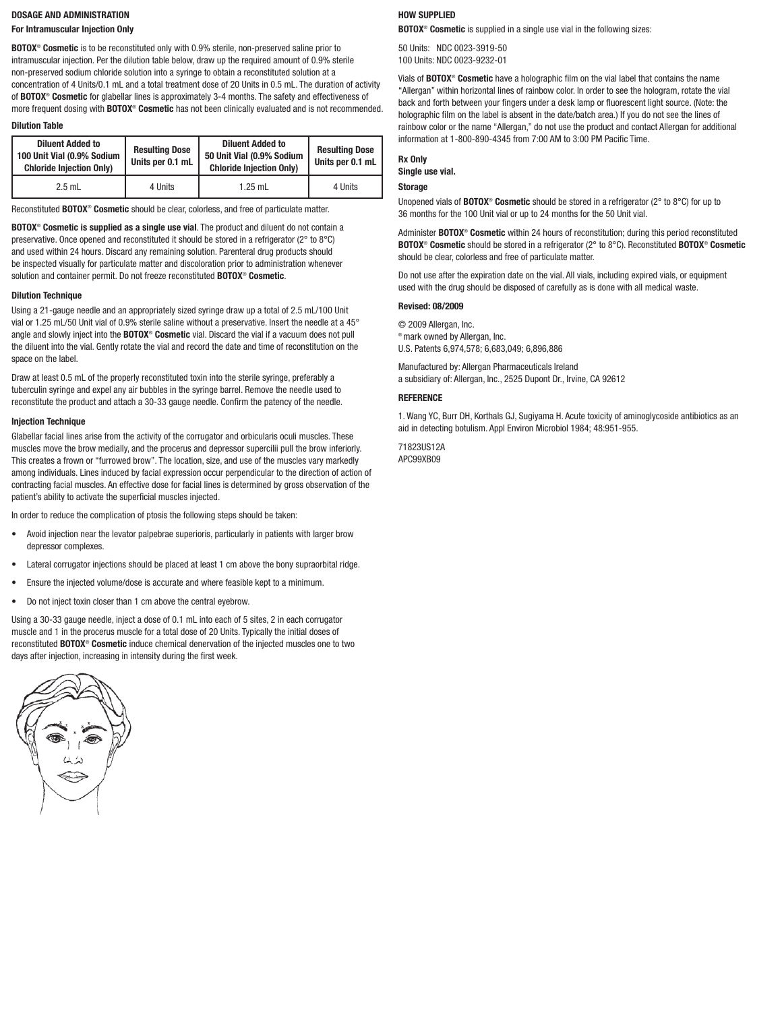## DOSAGE AND ADMINISTRATION

#### For Intramuscular Injection Only

BOTOX<sup>®</sup> Cosmetic is to be reconstituted only with 0.9% sterile, non-preserved saline prior to intramuscular injection. Per the dilution table below, draw up the required amount of 0.9% sterile non-preserved sodium chloride solution into a syringe to obtain a reconstituted solution at a concentration of 4 Units/0.1 mL and a total treatment dose of 20 Units in 0.5 mL. The duration of activity of BOTOX<sup>®</sup> Cosmetic for glabellar lines is approximately 3-4 months. The safety and effectiveness of more frequent dosing with **BOTOX® Cosmetic** has not been clinically evaluated and is not recommended.

## Dilution Table

| <b>Diluent Added to</b><br>100 Unit Vial (0.9% Sodium<br><b>Chloride Injection Only)</b> | <b>Resulting Dose</b><br>Units per 0.1 mL | <b>Diluent Added to</b><br>50 Unit Vial (0.9% Sodium<br><b>Chloride Injection Only)</b> | <b>Resulting Dose</b><br>Units per 0.1 mL |
|------------------------------------------------------------------------------------------|-------------------------------------------|-----------------------------------------------------------------------------------------|-------------------------------------------|
| $2.5$ mL                                                                                 | 4 Units                                   | $1.25$ mL                                                                               | 4 Units                                   |

Reconstituted **BOTOX<sup>®</sup> Cosmetic** should be clear, colorless, and free of particulate matter.

BOTOX<sup>®</sup> Cosmetic is supplied as a single use vial. The product and diluent do not contain a preservative. Once opened and reconstituted it should be stored in a refrigerator (2° to 8°C) and used within 24 hours. Discard any remaining solution. Parenteral drug products should be inspected visually for particulate matter and discoloration prior to administration whenever solution and container permit. Do not freeze reconstituted BOTOX® Cosmetic.

#### Dilution Technique

Using a 21-gauge needle and an appropriately sized syringe draw up a total of 2.5 mL/100 Unit vial or 1.25 mL/50 Unit vial of 0.9% sterile saline without a preservative. Insert the needle at a 45° angle and slowly inject into the **BOTOX<sup>®</sup> Cosmetic** vial. Discard the vial if a vacuum does not pull the diluent into the vial. Gently rotate the vial and record the date and time of reconstitution on the space on the label.

Draw at least 0.5 mL of the properly reconstituted toxin into the sterile syringe, preferably a tuberculin syringe and expel any air bubbles in the syringe barrel. Remove the needle used to reconstitute the product and attach a 30-33 gauge needle. Confirm the patency of the needle.

#### Injection Technique

Glabellar facial lines arise from the activity of the corrugator and orbicularis oculi muscles. These muscles move the brow medially, and the procerus and depressor supercilii pull the brow inferiorly. This creates a frown or "furrowed brow". The location, size, and use of the muscles vary markedly among individuals. Lines induced by facial expression occur perpendicular to the direction of action of contracting facial muscles. An effective dose for facial lines is determined by gross observation of the patient's ability to activate the superficial muscles injected.

In order to reduce the complication of ptosis the following steps should be taken:

- Avoid injection near the levator palpebrae superioris, particularly in patients with larger brow depressor complexes.
- Lateral corrugator injections should be placed at least 1 cm above the bony supraorbital ridge.
- Ensure the injected volume/dose is accurate and where feasible kept to a minimum.
- • Do not inject toxin closer than 1 cm above the central eyebrow.

Using a 30-33 gauge needle, inject a dose of 0.1 mL into each of 5 sites, 2 in each corrugator muscle and 1 in the procerus muscle for a total dose of 20 Units. Typically the initial doses of reconstituted BOTOX® Cosmetic induce chemical denervation of the injected muscles one to two days after injection, increasing in intensity during the first week.



## HOW SUPPLIED

BOTOX<sup>®</sup> Cosmetic is supplied in a single use vial in the following sizes:

50 Units: NDC 0023-3919-50 100 Units: NDC 0023-9232-01

Vials of BOTOX<sup>®</sup> Cosmetic have a holographic film on the vial label that contains the name "Allergan" within horizontal lines of rainbow color. In order to see the hologram, rotate the vial back and forth between your fingers under a desk lamp or fluorescent light source. (Note: the holographic film on the label is absent in the date/batch area.) If you do not see the lines of rainbow color or the name "Allergan," do not use the product and contact Allergan for additional information at 1-800-890-4345 from 7:00 AM to 3:00 PM Pacific Time.

## Rx Only

Single use vial.

## Storage

Unopened vials of **BOTOX<sup>®</sup> Cosmetic** should be stored in a refrigerator ( $2^\circ$  to  $8^\circ$ C) for up to 36 months for the 100 Unit vial or up to 24 months for the 50 Unit vial.

Administer BOTOX<sup>®</sup> Cosmetic within 24 hours of reconstitution; during this period reconstituted BOTOX<sup>®</sup> Cosmetic should be stored in a refrigerator (2° to 8°C). Reconstituted BOTOX<sup>®</sup> Cosmetic should be clear, colorless and free of particulate matter.

Do not use after the expiration date on the vial. All vials, including expired vials, or equipment used with the drug should be disposed of carefully as is done with all medical waste.

#### Revised: 08/2009

© 2009 Allergan, Inc. ® mark owned by Allergan, Inc. U.S. Patents 6,974,578; 6,683,049; 6,896,886

Manufactured by: Allergan Pharmaceuticals Ireland a subsidiary of: Allergan, Inc., 2525 Dupont Dr., Irvine, CA 92612

#### **REFERENCE**

1. Wang YC, Burr DH, Korthals GJ, Sugiyama H. Acute toxicity of aminoglycoside antibiotics as an aid in detecting botulism. Appl Environ Microbiol 1984; 48:951-955.

71823US12A APC99XB09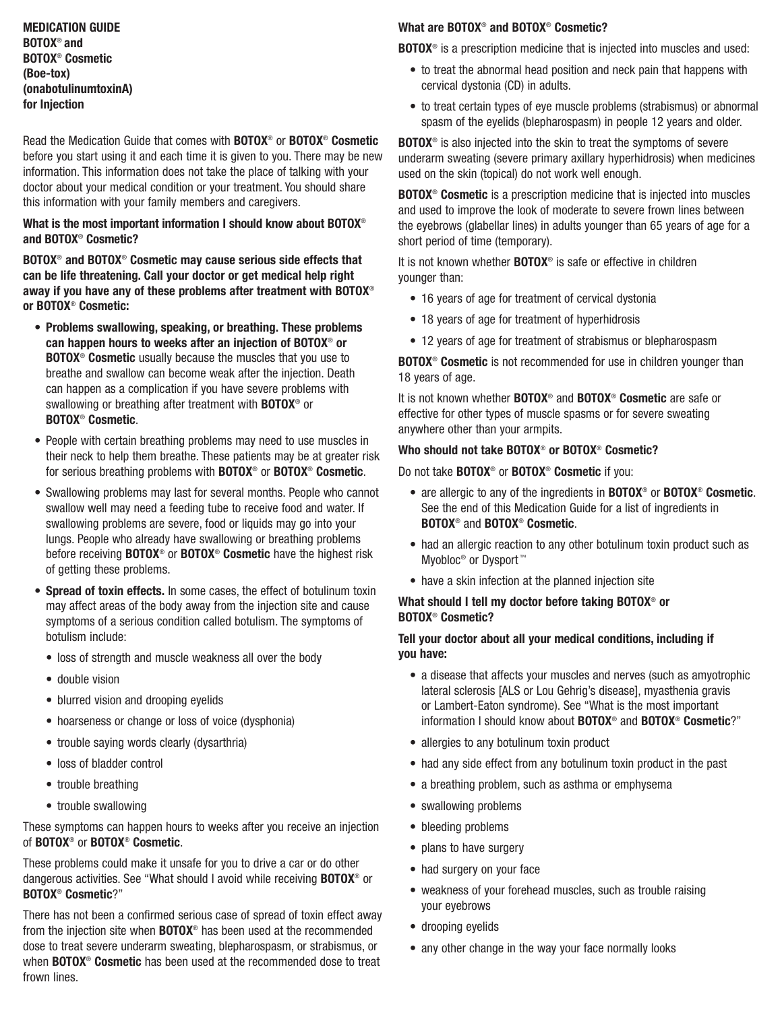## MEDICATION GUIDE BOTOX® and BOTOX® Cosmetic (Boe-tox) (onabotulinumtoxinA) for Injection

Read the Medication Guide that comes with **BOTOX<sup>®</sup> or BOTOX<sup>®</sup> Cosmetic** before you start using it and each time it is given to you. There may be new information. This information does not take the place of talking with your doctor about your medical condition or your treatment. You should share this information with your family members and caregivers.

## What is the most important information I should know about BOTOX<sup>®</sup> and BOTOX® Cosmetic?

BOTOX® and BOTOX® Cosmetic may cause serious side effects that can be life threatening. Call your doctor or get medical help right away if you have any of these problems after treatment with BOTOX® or BOTOX® Cosmetic:

- Problems swallowing, speaking, or breathing. These problems can happen hours to weeks after an injection of BOTOX® or BOTOX<sup>®</sup> Cosmetic usually because the muscles that you use to breathe and swallow can become weak after the injection. Death can happen as a complication if you have severe problems with swallowing or breathing after treatment with **BOTOX**<sup>®</sup> or BOTOX® Cosmetic.
- People with certain breathing problems may need to use muscles in their neck to help them breathe. These patients may be at greater risk for serious breathing problems with **BOTOX<sup>®</sup>** or **BOTOX<sup>®</sup> Cosmetic**.
- Swallowing problems may last for several months. People who cannot swallow well may need a feeding tube to receive food and water. If swallowing problems are severe, food or liquids may go into your lungs. People who already have swallowing or breathing problems before receiving **BOTOX<sup>®</sup>** or **BOTOX<sup>®</sup> Cosmetic** have the highest risk of getting these problems.
- Spread of toxin effects. In some cases, the effect of botulinum toxin may affect areas of the body away from the injection site and cause symptoms of a serious condition called botulism. The symptoms of botulism include:
	- loss of strength and muscle weakness all over the body
	- double vision
	- blurred vision and drooping eyelids
	- hoarseness or change or loss of voice (dysphonia)
	- trouble saying words clearly (dysarthria)
	- loss of bladder control
	- trouble breathing
	- trouble swallowing

These symptoms can happen hours to weeks after you receive an injection of BOTOX® or BOTOX® Cosmetic.

These problems could make it unsafe for you to drive a car or do other dangerous activities. See "What should I avoid while receiving BOTOX® or BOTOX® Cosmetic?"

There has not been a confirmed serious case of spread of toxin effect away from the injection site when BOTOX® has been used at the recommended dose to treat severe underarm sweating, blepharospasm, or strabismus, or when **BOTOX<sup>®</sup> Cosmetic** has been used at the recommended dose to treat frown lines.

## What are BOTOX® and BOTOX® Cosmetic?

**BOTOX**<sup>®</sup> is a prescription medicine that is injected into muscles and used:

- to treat the abnormal head position and neck pain that happens with cervical dystonia (CD) in adults.
- to treat certain types of eye muscle problems (strabismus) or abnormal spasm of the eyelids (blepharospasm) in people 12 years and older.

 $BOTOX<sup>®</sup>$  is also injected into the skin to treat the symptoms of severe underarm sweating (severe primary axillary hyperhidrosis) when medicines used on the skin (topical) do not work well enough.

**BOTOX<sup>®</sup> Cosmetic** is a prescription medicine that is injected into muscles and used to improve the look of moderate to severe frown lines between the eyebrows (glabellar lines) in adults younger than 65 years of age for a short period of time (temporary).

It is not known whether **BOTOX<sup>®</sup>** is safe or effective in children younger than:

- 16 years of age for treatment of cervical dystonia
- 18 years of age for treatment of hyperhidrosis
- 12 years of age for treatment of strabismus or blepharospasm

**BOTOX<sup>®</sup> Cosmetic** is not recommended for use in children younger than 18 years of age.

It is not known whether BOTOX® and BOTOX® Cosmetic are safe or effective for other types of muscle spasms or for severe sweating anywhere other than your armpits.

## Who should not take BOTOX® or BOTOX® Cosmetic?

Do not take **BOTOX®** or **BOTOX® Cosmetic** if you:

- are allergic to any of the ingredients in **BOTOX®** or **BOTOX®** Cosmetic. See the end of this Medication Guide for a list of ingredients in BOTOX® and BOTOX® Cosmetic.
- had an allergic reaction to any other botulinum toxin product such as Myobloc® or Dysport ™
- have a skin infection at the planned injection site

## What should I tell my doctor before taking BOTOX® or BOTOX® Cosmetic?

## Tell your doctor about all your medical conditions, including if you have:

- a disease that affects your muscles and nerves (such as amyotrophic lateral sclerosis [ALS or Lou Gehrig's disease], myasthenia gravis or Lambert-Eaton syndrome). See "What is the most important information I should know about BOTOX® and BOTOX® Cosmetic?"
- allergies to any botulinum toxin product
- had any side effect from any botulinum toxin product in the past
- a breathing problem, such as asthma or emphysema
- swallowing problems
- bleeding problems
- plans to have surgery
- had surgery on your face
- weakness of your forehead muscles, such as trouble raising your eyebrows
- drooping eyelids
- any other change in the way your face normally looks